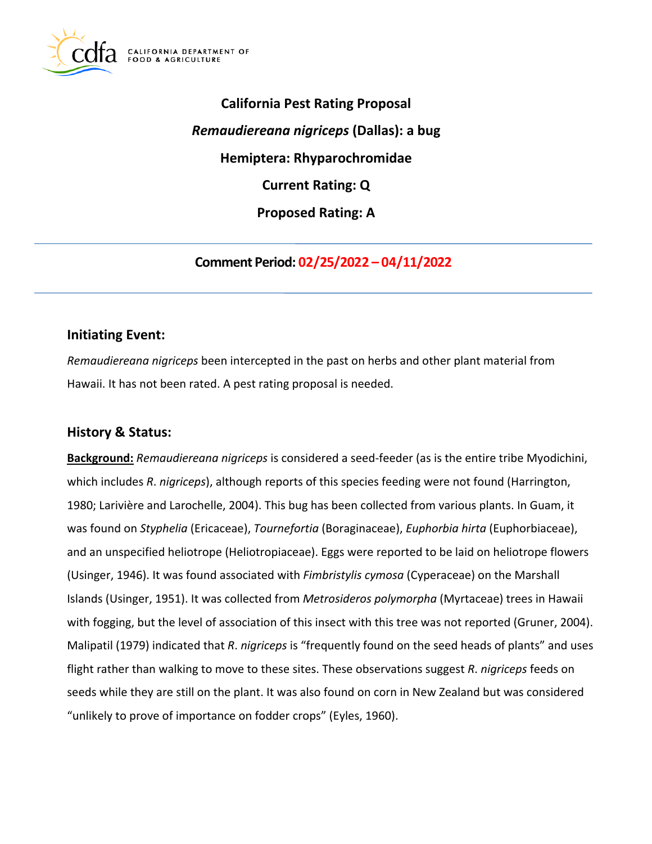

**California Pest Rating Proposal**  *Remaudiereana nigriceps* **(Dallas): a bug Hemiptera: Rhyparochromidae Current Rating: Q Proposed Rating: A** 

**Comment Period: 02/25/2022 – 04/11/2022** 

## **Initiating Event:**

*Remaudiereana nigriceps* been intercepted in the past on herbs and other plant material from Hawaii. It has not been rated. A pest rating proposal is needed.

# **History & Status:**

**Background:** *Remaudiereana nigriceps* is considered a seed-feeder (as is the entire tribe Myodichini, which includes *R*. *nigriceps*), although reports of this species feeding were not found (Harrington, 1980; Larivière and Larochelle, 2004). This bug has been collected from various plants. In Guam, it was found on *Styphelia* (Ericaceae), *Tournefortia* (Boraginaceae), *Euphorbia hirta* (Euphorbiaceae), and an unspecified heliotrope (Heliotropiaceae). Eggs were reported to be laid on heliotrope flowers (Usinger, 1946). It was found associated with *Fimbristylis cymosa* (Cyperaceae) on the Marshall Islands (Usinger, 1951). It was collected from *Metrosideros polymorpha* (Myrtaceae) trees in Hawaii with fogging, but the level of association of this insect with this tree was not reported (Gruner, 2004). Malipatil (1979) indicated that *R*. *nigriceps* is "frequently found on the seed heads of plants" and uses flight rather than walking to move to these sites. These observations suggest *R*. *nigriceps* feeds on seeds while they are still on the plant. It was also found on corn in New Zealand but was considered "unlikely to prove of importance on fodder crops" (Eyles, 1960).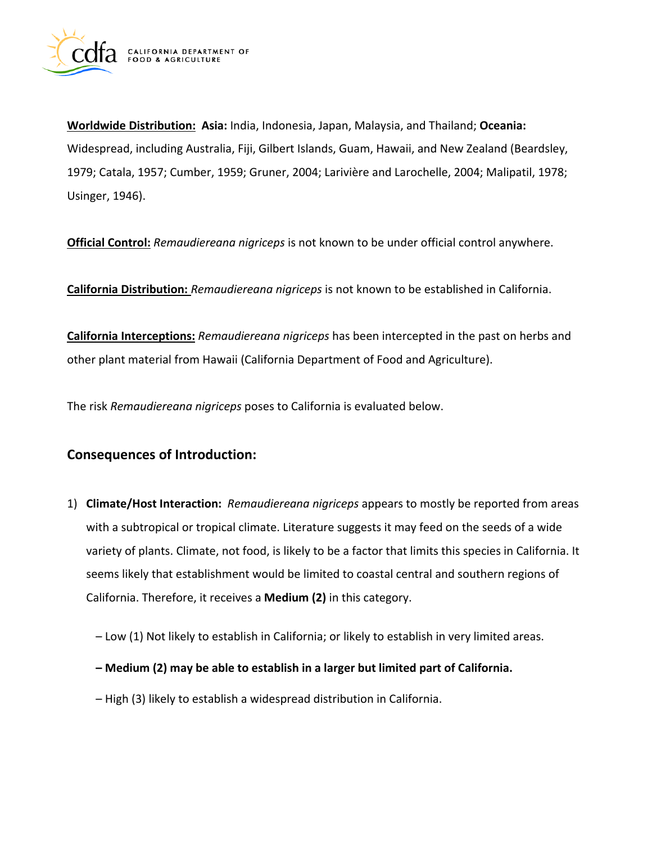

**Worldwide Distribution: Asia:** India, Indonesia, Japan, Malaysia, and Thailand; **Oceania:**  Widespread, including Australia, Fiji, Gilbert Islands, Guam, Hawaii, and New Zealand (Beardsley, 1979; Catala, 1957; Cumber, 1959; Gruner, 2004; Larivière and Larochelle, 2004; Malipatil, 1978; Usinger, 1946).

**Official Control:** *Remaudiereana nigriceps* is not known to be under official control anywhere.

**California Distribution:** *Remaudiereana nigriceps* is not known to be established in California.

**California Interceptions:** *Remaudiereana nigriceps* has been intercepted in the past on herbs and other plant material from Hawaii (California Department of Food and Agriculture).

The risk *Remaudiereana nigriceps* poses to California is evaluated below.

# **Consequences of Introduction:**

- 1) **Climate/Host Interaction:** *Remaudiereana nigriceps* appears to mostly be reported from areas with a subtropical or tropical climate. Literature suggests it may feed on the seeds of a wide variety of plants. Climate, not food, is likely to be a factor that limits this species in California. It seems likely that establishment would be limited to coastal central and southern regions of California. Therefore, it receives a **Medium (2)** in this category.
	- Low (1) Not likely to establish in California; or likely to establish in very limited areas.
	- **Medium (2) may be able to establish in a larger but limited part of California.**
	- High (3) likely to establish a widespread distribution in California.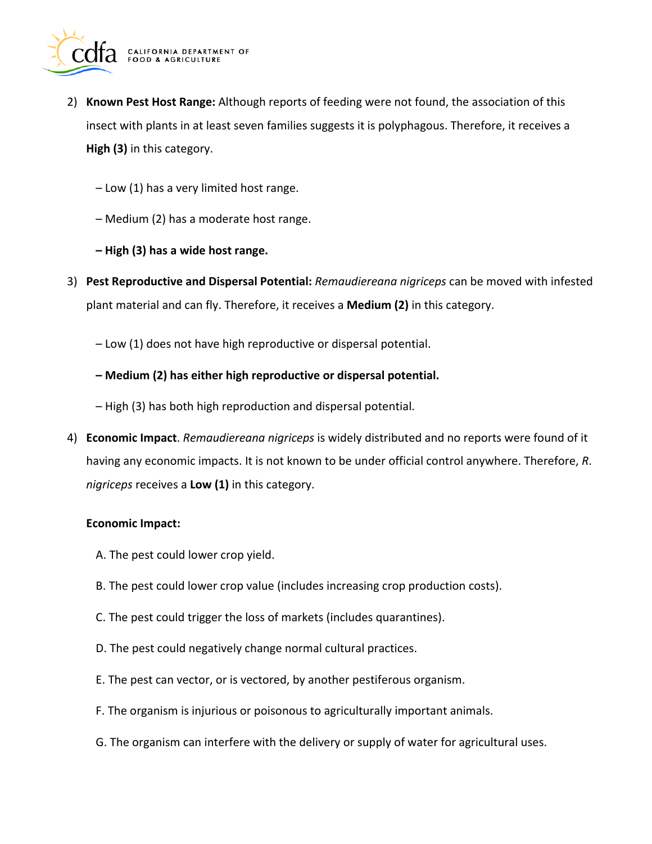

- 2) **Known Pest Host Range:** Although reports of feeding were not found, the association of this insect with plants in at least seven families suggests it is polyphagous. Therefore, it receives a **High (3)** in this category.
	- Low (1) has a very limited host range.
	- Medium (2) has a moderate host range.
	- **High (3) has a wide host range.**
- 3) **Pest Reproductive and Dispersal Potential:** *Remaudiereana nigriceps* can be moved with infested plant material and can fly. Therefore, it receives a **Medium (2)** in this category.
	- Low (1) does not have high reproductive or dispersal potential.
	- **Medium (2) has either high reproductive or dispersal potential.**
	- High (3) has both high reproduction and dispersal potential.
- 4) **Economic Impact**. *Remaudiereana nigriceps* is widely distributed and no reports were found of it having any economic impacts. It is not known to be under official control anywhere. Therefore, *R*. *nigriceps* receives a **Low (1)** in this category.

#### **Economic Impact:**

- A. The pest could lower crop yield.
- B. The pest could lower crop value (includes increasing crop production costs).
- C. The pest could trigger the loss of markets (includes quarantines).
- D. The pest could negatively change normal cultural practices.
- E. The pest can vector, or is vectored, by another pestiferous organism.
- F. The organism is injurious or poisonous to agriculturally important animals.
- G. The organism can interfere with the delivery or supply of water for agricultural uses.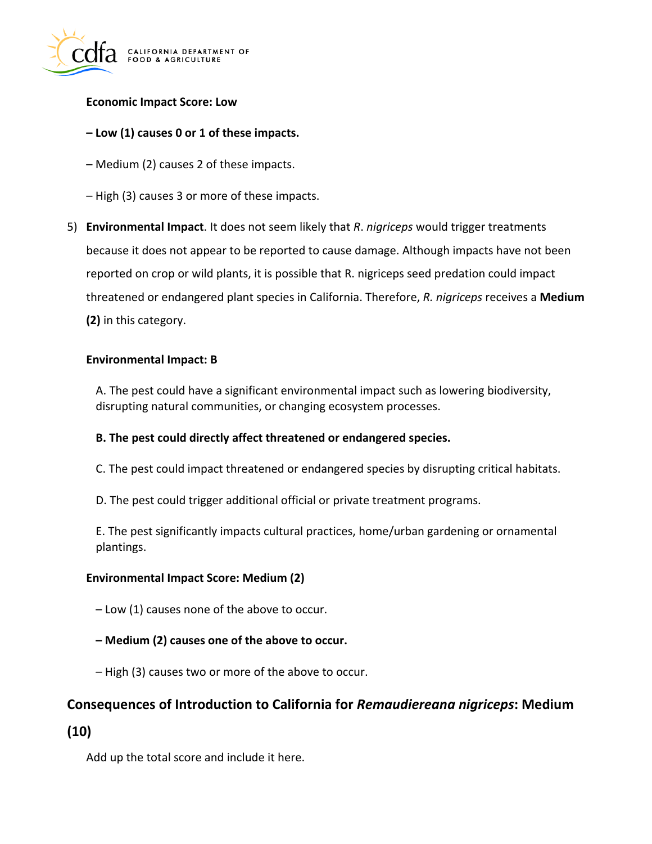

### **Economic Impact Score: Low**

### **– Low (1) causes 0 or 1 of these impacts.**

- Medium (2) causes 2 of these impacts.
- High (3) causes 3 or more of these impacts.
- 5) **Environmental Impact**. It does not seem likely that *R*. *nigriceps* would trigger treatments because it does not appear to be reported to cause damage. Although impacts have not been reported on crop or wild plants, it is possible that R. nigriceps seed predation could impact threatened or endangered plant species in California. Therefore, *R. nigriceps* receives a **Medium (2)** in this category.

#### **Environmental Impact: B**

A. The pest could have a significant environmental impact such as lowering biodiversity, disrupting natural communities, or changing ecosystem processes.

#### **B. The pest could directly affect threatened or endangered species.**

- C. The pest could impact threatened or endangered species by disrupting critical habitats.
- D. The pest could trigger additional official or private treatment programs.

E. The pest significantly impacts cultural practices, home/urban gardening or ornamental plantings.

#### **Environmental Impact Score: Medium (2)**

- Low (1) causes none of the above to occur.
- **Medium (2) causes one of the above to occur.**
- High (3) causes two or more of the above to occur.

## **Consequences of Introduction to California for** *Remaudiereana nigriceps***: Medium**

## **(10)**

Add up the total score and include it here.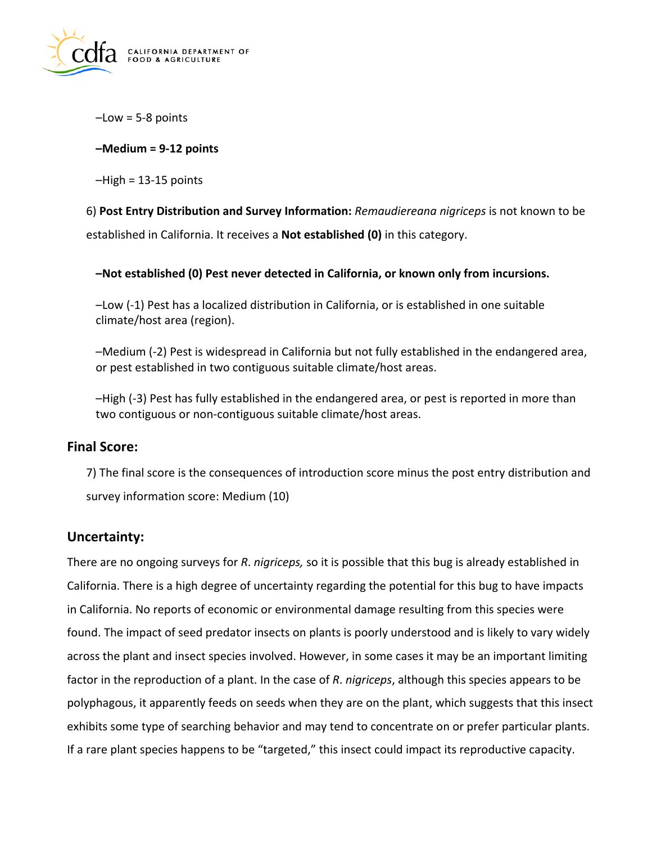

–Low = 5-8 points

## **–Medium = 9-12 points**

 $-High = 13-15$  points

6) **Post Entry Distribution and Survey Information:** *Remaudiereana nigriceps* is not known to be established in California. It receives a **Not established (0)** in this category.

**–Not established (0) Pest never detected in California, or known only from incursions.** 

–Low (-1) Pest has a localized distribution in California, or is established in one suitable climate/host area (region).

–Medium (-2) Pest is widespread in California but not fully established in the endangered area, or pest established in two contiguous suitable climate/host areas.

–High (-3) Pest has fully established in the endangered area, or pest is reported in more than two contiguous or non-contiguous suitable climate/host areas.

## **Final Score:**

7) The final score is the consequences of introduction score minus the post entry distribution and survey information score: Medium (10)

## **Uncertainty:**

There are no ongoing surveys for *R*. *nigriceps,* so it is possible that this bug is already established in California. There is a high degree of uncertainty regarding the potential for this bug to have impacts in California. No reports of economic or environmental damage resulting from this species were found. The impact of seed predator insects on plants is poorly understood and is likely to vary widely across the plant and insect species involved. However, in some cases it may be an important limiting factor in the reproduction of a plant. In the case of *R*. *nigriceps*, although this species appears to be polyphagous, it apparently feeds on seeds when they are on the plant, which suggests that this insect exhibits some type of searching behavior and may tend to concentrate on or prefer particular plants. If a rare plant species happens to be "targeted," this insect could impact its reproductive capacity.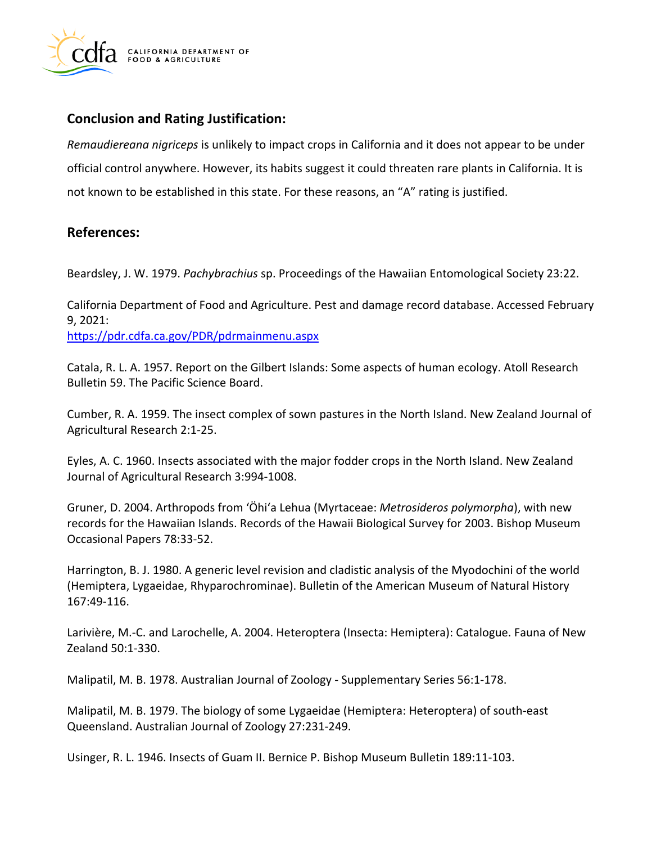

## **Conclusion and Rating Justification:**

*Remaudiereana nigriceps* is unlikely to impact crops in California and it does not appear to be under official control anywhere. However, its habits suggest it could threaten rare plants in California. It is not known to be established in this state. For these reasons, an "A" rating is justified.

## **References:**

Beardsley, J. W. 1979. *Pachybrachius* sp. Proceedings of the Hawaiian Entomological Society 23:22.

California Department of Food and Agriculture. Pest and damage record database. Accessed February 9, 2021:

<https://pdr.cdfa.ca.gov/PDR/pdrmainmenu.aspx>

Catala, R. L. A. 1957. Report on the Gilbert Islands: Some aspects of human ecology. Atoll Research Bulletin 59. The Pacific Science Board.

Cumber, R. A. 1959. The insect complex of sown pastures in the North Island. New Zealand Journal of Agricultural Research 2:1-25.

Eyles, A. C. 1960. Insects associated with the major fodder crops in the North Island. New Zealand Journal of Agricultural Research 3:994-1008.

Gruner, D. 2004. Arthropods from 'Öhi'a Lehua (Myrtaceae: *Metrosideros polymorpha*), with new records for the Hawaiian Islands. Records of the Hawaii Biological Survey for 2003. Bishop Museum Occasional Papers 78:33-52.

Harrington, B. J. 1980. A generic level revision and cladistic analysis of the Myodochini of the world (Hemiptera, Lygaeidae, Rhyparochrominae). Bulletin of the American Museum of Natural History 167:49-116.

Larivière, M.-C. and Larochelle, A. 2004. Heteroptera (Insecta: Hemiptera): Catalogue. Fauna of New Zealand 50:1-330.

Malipatil, M. B. 1978. Australian Journal of Zoology - Supplementary Series 56:1-178.

Malipatil, M. B. 1979. The biology of some Lygaeidae (Hemiptera: Heteroptera) of south-east Queensland. Australian Journal of Zoology 27:231-249.

Usinger, R. L. 1946. Insects of Guam II. Bernice P. Bishop Museum Bulletin 189:11-103.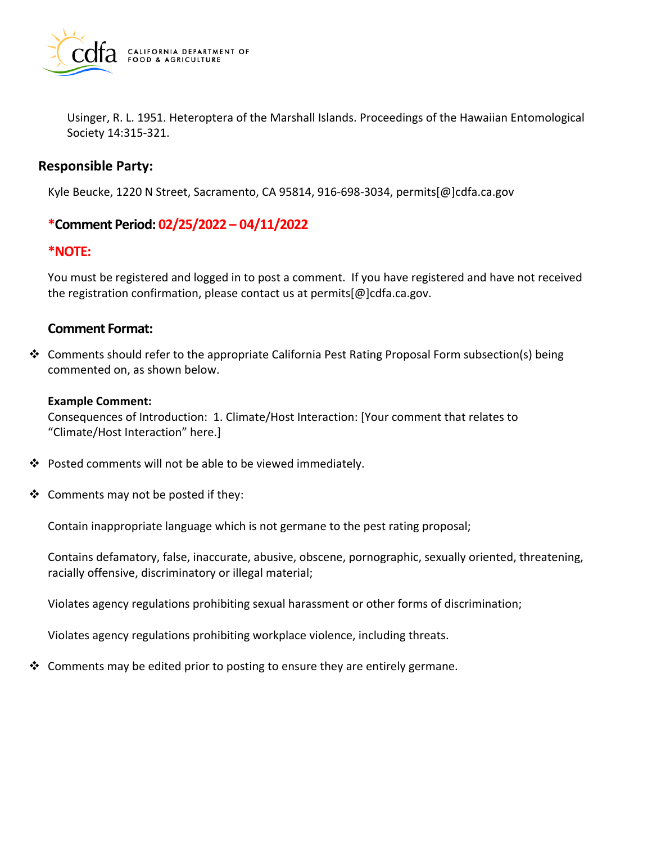

Usinger, R. L. 1951. Heteroptera of the Marshall Islands. Proceedings of the Hawaiian Entomological Society 14:315-321.

### **Responsible Party:**

Kyle Beucke, 1220 N Street, Sacramento, CA 95814, 916-698-3034, [permits\[@\]cdfa.ca.gov](https://permits[@]cdfa.ca.gov) 

## **\*Comment Period: 02/25/2022 – 04/11/2022**

#### **\*NOTE:**

You must be registered and logged in to post a comment. If you have registered and have not received the registration confirmation, please contact us at [permits\[@\]cdfa.ca.gov](https://permits[@]cdfa.ca.gov).

#### **Comment Format:**

 $\clubsuit$  Comments should refer to the appropriate California Pest Rating Proposal Form subsection(s) being commented on, as shown below.

#### **Example Comment:**

Consequences of Introduction: 1. Climate/Host Interaction: [Your comment that relates to "Climate/Host Interaction" here.]

- Posted comments will not be able to be viewed immediately.
- $\triangleleft$  Comments may not be posted if they:

Contain inappropriate language which is not germane to the pest rating proposal;

Contains defamatory, false, inaccurate, abusive, obscene, pornographic, sexually oriented, threatening, racially offensive, discriminatory or illegal material;

Violates agency regulations prohibiting sexual harassment or other forms of discrimination;

Violates agency regulations prohibiting workplace violence, including threats.

 $\clubsuit$  Comments may be edited prior to posting to ensure they are entirely germane.